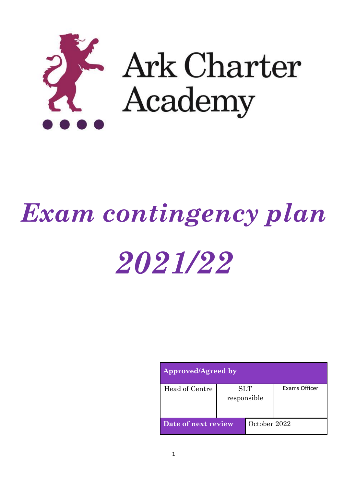

# *Exam contingency plan*

# *2021/22*

| Approved/Agreed by  |                           |              |               |  |  |
|---------------------|---------------------------|--------------|---------------|--|--|
| Head of Centre      | <b>SLT</b><br>responsible |              | Exams Officer |  |  |
| Date of next review |                           | October 2022 |               |  |  |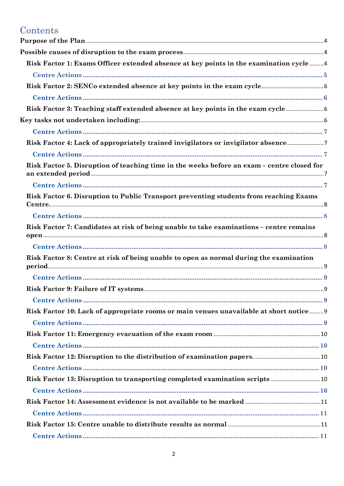# Contents

| Risk Factor 1: Exams Officer extended absence at key points in the examination cycle4      |  |
|--------------------------------------------------------------------------------------------|--|
|                                                                                            |  |
|                                                                                            |  |
|                                                                                            |  |
| Risk Factor 3: Teaching staff extended absence at key points in the exam cycle             |  |
|                                                                                            |  |
|                                                                                            |  |
| Risk Factor 4: Lack of appropriately trained invigilators or invigilator absence7          |  |
|                                                                                            |  |
| Risk Factor 5. Disruption of teaching time in the weeks before an exam – centre closed for |  |
|                                                                                            |  |
| Risk Factor 6. Disruption to Public Transport preventing students from reaching Exams      |  |
|                                                                                            |  |
| Risk Factor 7: Candidates at risk of being unable to take examinations – centre remains    |  |
|                                                                                            |  |
| Risk Factor 8: Centre at risk of being unable to open as normal during the examination     |  |
|                                                                                            |  |
|                                                                                            |  |
|                                                                                            |  |
| Risk Factor 10: Lack of appropriate rooms or main venues unavailable at short notice 9     |  |
|                                                                                            |  |
|                                                                                            |  |
|                                                                                            |  |
|                                                                                            |  |
|                                                                                            |  |
|                                                                                            |  |
|                                                                                            |  |
|                                                                                            |  |
|                                                                                            |  |
|                                                                                            |  |
|                                                                                            |  |
|                                                                                            |  |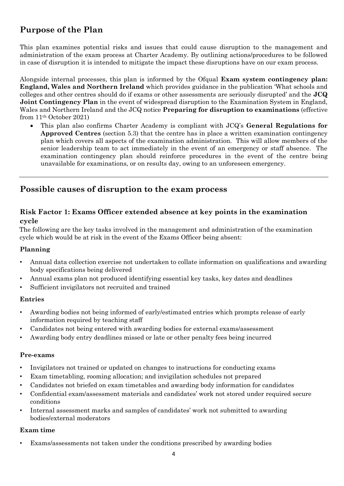## <span id="page-3-0"></span>**Purpose of the Plan**

This plan examines potential risks and issues that could cause disruption to the management and administration of the exam process at Charter Academy. By outlining actions/procedures to be followed in case of disruption it is intended to mitigate the impact these disruptions have on our exam process.

Alongside internal processes, this plan is informed by the Ofqual **Exam system contingency plan: England, Wales and Northern Ireland** which provides guidance in the publication 'What schools and colleges and other centres should do if exams or other assessments are seriously disrupted' and the **JCQ Joint Contingency Plan** in the event of widespread disruption to the Examination System in England, Wales and Northern Ireland and the JCQ notice **Preparing for disruption to examinations** (effective from 11th October 2021)

• This plan also confirms Charter Academy is compliant with JCQ's **General Regulations for Approved Centres** (section 5.3) that the centre has in place a written examination contingency plan which covers all aspects of the examination administration. This will allow members of the senior leadership team to act immediately in the event of an emergency or staff absence. The examination contingency plan should reinforce procedures in the event of the centre being unavailable for examinations, or on results day, owing to an unforeseen emergency.

## <span id="page-3-1"></span>**Possible causes of disruption to the exam process**

## <span id="page-3-2"></span>**Risk Factor 1: Exams Officer extended absence at key points in the examination cycle**

The following are the key tasks involved in the management and administration of the examination cycle which would be at risk in the event of the Exams Officer being absent:

## **Planning**

- Annual data collection exercise not undertaken to collate information on qualifications and awarding body specifications being delivered
- Annual exams plan not produced identifying essential key tasks, key dates and deadlines
- Sufficient invigilators not recruited and trained

#### **Entries**

- Awarding bodies not being informed of early/estimated entries which prompts release of early information required by teaching staff
- Candidates not being entered with awarding bodies for external exams/assessment
- Awarding body entry deadlines missed or late or other penalty fees being incurred

#### **Pre-exams**

- Invigilators not trained or updated on changes to instructions for conducting exams
- Exam timetabling, rooming allocation; and invigilation schedules not prepared
- Candidates not briefed on exam timetables and awarding body information for candidates
- Confidential exam/assessment materials and candidates' work not stored under required secure conditions
- Internal assessment marks and samples of candidates' work not submitted to awarding bodies/external moderators

#### **Exam time**

• Exams/assessments not taken under the conditions prescribed by awarding bodies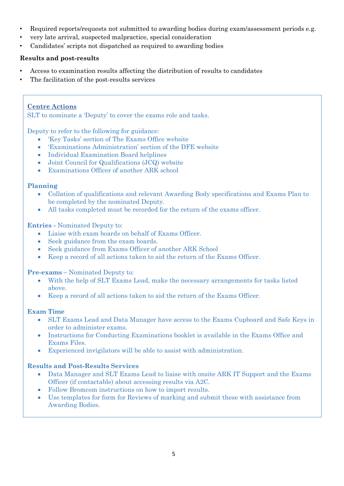- Required reports/requests not submitted to awarding bodies during exam/assessment periods e.g.
- very late arrival, suspected malpractice, special consideration
- Candidates' scripts not dispatched as required to awarding bodies

#### **Results and post-results**

- Access to examination results affecting the distribution of results to candidates
- The facilitation of the post-results services

## <span id="page-4-0"></span>**Centre Actions**

SLT to nominate a 'Deputy' to cover the exams role and tasks.

Deputy to refer to the following for guidance:

- 'Key Tasks' section of The Exams Office website
- 'Examinations Administration' section of the DFE website
- Individual Examination Board helplines
- Joint Council for Qualifications (JCQ) website
- Examinations Officer of another ARK school

#### **Planning**

- Collation of qualifications and relevant Awarding Body specifications and Exams Plan to be completed by the nominated Deputy.
- All tasks completed must be recorded for the return of the exams officer.

#### **Entries -** Nominated Deputy to:

- Liaise with exam boards on behalf of Exams Officer.
- Seek guidance from the exam boards.
- Seek guidance from Exams Officer of another ARK School
- Keep a record of all actions taken to aid the return of the Exams Officer.

#### **Pre-exams –** Nominated Deputy to:

- With the help of SLT Exams Lead, make the necessary arrangements for tasks listed above.
- Keep a record of all actions taken to aid the return of the Exams Officer.

#### **Exam Time**

- SLT Exams Lead and Data Manager have access to the Exams Cupboard and Safe Keys in order to administer exams.
- Instructions for Conducting Examinations booklet is available in the Exams Office and Exams Files.
- Experienced invigilators will be able to assist with administration.

## **Results and Post-Results Services**

- Data Manager and SLT Exams Lead to liaise with onsite ARK IT Support and the Exams Officer (if contactable) about accessing results via A2C.
- Follow Bromcom instructions on how to import results.
- Use templates for form for Reviews of marking and submit these with assistance from Awarding Bodies.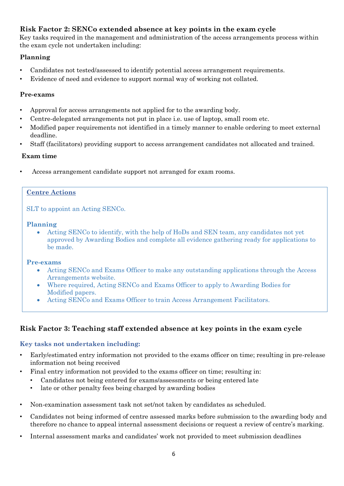## <span id="page-5-0"></span>**Risk Factor 2: SENCo extended absence at key points in the exam cycle**

Key tasks required in the management and administration of the access arrangements process within the exam cycle not undertaken including:

## **Planning**

- Candidates not tested/assessed to identify potential access arrangement requirements.
- Evidence of need and evidence to support normal way of working not collated.

## **Pre-exams**

- Approval for access arrangements not applied for to the awarding body.
- Centre-delegated arrangements not put in place i.e. use of laptop, small room etc.
- Modified paper requirements not identified in a timely manner to enable ordering to meet external deadline.
- Staff (facilitators) providing support to access arrangement candidates not allocated and trained.

## **Exam time**

Access arrangement candidate support not arranged for exam rooms.

## <span id="page-5-1"></span>**Centre Actions**

SLT to appoint an Acting SENCo.

#### **Planning**

• Acting SENCo to identify, with the help of HoDs and SEN team, any candidates not yet approved by Awarding Bodies and complete all evidence gathering ready for applications to be made.

## **Pre-exams**

- Acting SENCo and Exams Officer to make any outstanding applications through the Access Arrangements website.
- Where required, Acting SENCo and Exams Officer to apply to Awarding Bodies for Modified papers.
- Acting SENCo and Exams Officer to train Access Arrangement Facilitators.

## <span id="page-5-2"></span>**Risk Factor 3: Teaching staff extended absence at key points in the exam cycle**

## <span id="page-5-3"></span>**Key tasks not undertaken including:**

- Early/estimated entry information not provided to the exams officer on time; resulting in pre-release information not being received
- Final entry information not provided to the exams officer on time; resulting in:
	- Candidates not being entered for exams/assessments or being entered late
	- late or other penalty fees being charged by awarding bodies
- Non-examination assessment task not set/not taken by candidates as scheduled.
- Candidates not being informed of centre assessed marks before submission to the awarding body and therefore no chance to appeal internal assessment decisions or request a review of centre's marking.
- Internal assessment marks and candidates' work not provided to meet submission deadlines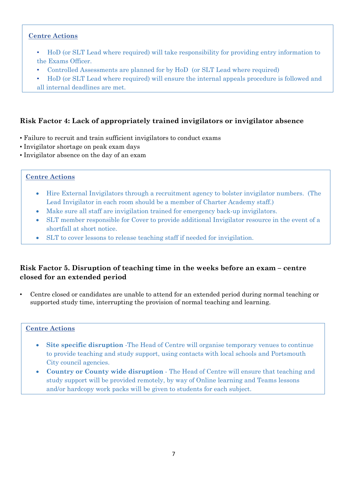## <span id="page-6-0"></span>**Centre Actions**

- HoD (or SLT Lead where required) will take responsibility for providing entry information to the Exams Officer.
- Controlled Assessments are planned for by HoD (or SLT Lead where required)
- HoD (or SLT Lead where required) will ensure the internal appeals procedure is followed and all internal deadlines are met.

## <span id="page-6-1"></span>**Risk Factor 4: Lack of appropriately trained invigilators or invigilator absence**

- Failure to recruit and train sufficient invigilators to conduct exams
- Invigilator shortage on peak exam days
- Invigilator absence on the day of an exam

#### <span id="page-6-2"></span>**Centre Actions**

- Hire External Invigilators through a recruitment agency to bolster invigilator numbers. (The Lead Invigilator in each room should be a member of Charter Academy staff.)
- Make sure all staff are invigilation trained for emergency back-up invigilators.
- SLT member responsible for Cover to provide additional Invigilator resource in the event of a shortfall at short notice.
- SLT to cover lessons to release teaching staff if needed for invigilation.

## <span id="page-6-3"></span>**Risk Factor 5. Disruption of teaching time in the weeks before an exam – centre closed for an extended period**

• Centre closed or candidates are unable to attend for an extended period during normal teaching or supported study time, interrupting the provision of normal teaching and learning.

- <span id="page-6-4"></span>**Site specific disruption** -The Head of Centre will organise temporary venues to continue to provide teaching and study support, using contacts with local schools and Portsmouth City council agencies.
- **Country or County wide disruption** The Head of Centre will ensure that teaching and study support will be provided remotely, by way of Online learning and Teams lessons and/or hardcopy work packs will be given to students for each subject.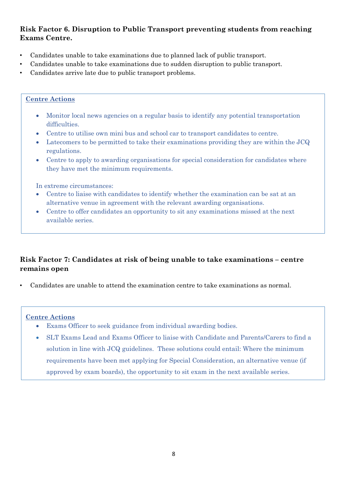## <span id="page-7-0"></span>**Risk Factor 6. Disruption to Public Transport preventing students from reaching Exams Centre.**

- Candidates unable to take examinations due to planned lack of public transport.
- Candidates unable to take examinations due to sudden disruption to public transport.
- Candidates arrive late due to public transport problems.

#### <span id="page-7-1"></span>**Centre Actions**

- Monitor local news agencies on a regular basis to identify any potential transportation difficulties.
- Centre to utilise own mini bus and school car to transport candidates to centre.
- Latecomers to be permitted to take their examinations providing they are within the JCQ regulations.
- Centre to apply to awarding organisations for special consideration for candidates where they have met the minimum requirements.

In extreme circumstances:

- Centre to liaise with candidates to identify whether the examination can be sat at an alternative venue in agreement with the relevant awarding organisations.
- Centre to offer candidates an opportunity to sit any examinations missed at the next available series.

## <span id="page-7-2"></span>**Risk Factor 7: Candidates at risk of being unable to take examinations – centre remains open**

• Candidates are unable to attend the examination centre to take examinations as normal.

- <span id="page-7-3"></span>• Exams Officer to seek guidance from individual awarding bodies.
- SLT Exams Lead and Exams Officer to liaise with Candidate and Parents/Carers to find a solution in line with JCQ guidelines. These solutions could entail: Where the minimum requirements have been met applying for Special Consideration, an alternative venue (if approved by exam boards), the opportunity to sit exam in the next available series.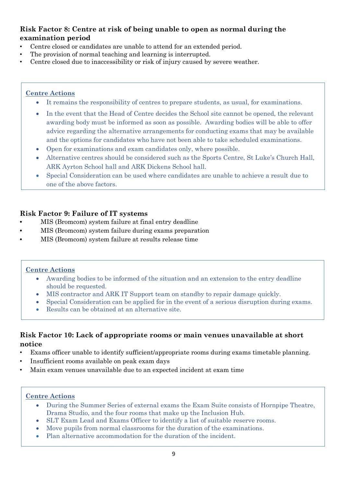## <span id="page-8-0"></span>**Risk Factor 8: Centre at risk of being unable to open as normal during the examination period**

- Centre closed or candidates are unable to attend for an extended period.
- The provision of normal teaching and learning is interrupted.
- Centre closed due to inaccessibility or risk of injury caused by severe weather.

## <span id="page-8-1"></span>**Centre Actions**

- It remains the responsibility of centres to prepare students, as usual, for examinations.
- In the event that the Head of Centre decides the School site cannot be opened, the relevant awarding body must be informed as soon as possible. Awarding bodies will be able to offer advice regarding the alternative arrangements for conducting exams that may be available and the options for candidates who have not been able to take scheduled examinations.
- Open for examinations and exam candidates only, where possible.
- Alternative centres should be considered such as the Sports Centre, St Luke's Church Hall, ARK Ayrton School hall and ARK Dickens School hall.
- Special Consideration can be used where candidates are unable to achieve a result due to one of the above factors.

## <span id="page-8-2"></span>**Risk Factor 9: Failure of IT systems**

- **•** MIS (Bromcom) system failure at final entry deadline
- **•** MIS (Bromcom) system failure during exams preparation
- **•** MIS (Bromcom) system failure at results release time

## <span id="page-8-3"></span>**Centre Actions**

- Awarding bodies to be informed of the situation and an extension to the entry deadline should be requested.
- MIS contractor and ARK IT Support team on standby to repair damage quickly.
- Special Consideration can be applied for in the event of a serious disruption during exams.
- Results can be obtained at an alternative site.

## <span id="page-8-4"></span>**Risk Factor 10: Lack of appropriate rooms or main venues unavailable at short notice**

- Exams officer unable to identify sufficient/appropriate rooms during exams timetable planning.
- Insufficient rooms available on peak exam days
- Main exam venues unavailable due to an expected incident at exam time

- <span id="page-8-5"></span>• During the Summer Series of external exams the Exam Suite consists of Hornpipe Theatre, Drama Studio, and the four rooms that make up the Inclusion Hub.
- SLT Exam Lead and Exams Officer to identify a list of suitable reserve rooms.
- Move pupils from normal classrooms for the duration of the examinations.
- Plan alternative accommodation for the duration of the incident.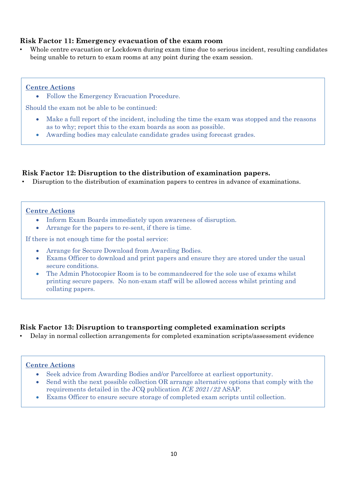## <span id="page-9-0"></span>**Risk Factor 11: Emergency evacuation of the exam room**

• Whole centre evacuation or Lockdown during exam time due to serious incident, resulting candidates being unable to return to exam rooms at any point during the exam session.

#### <span id="page-9-1"></span>**Centre Actions**

• Follow the Emergency Evacuation Procedure.

Should the exam not be able to be continued:

- Make a full report of the incident, including the time the exam was stopped and the reasons as to why; report this to the exam boards as soon as possible.
- Awarding bodies may calculate candidate grades using forecast grades.

#### <span id="page-9-2"></span>**Risk Factor 12: Disruption to the distribution of examination papers.**

• Disruption to the distribution of examination papers to centres in advance of examinations.

#### <span id="page-9-3"></span>**Centre Actions**

- Inform Exam Boards immediately upon awareness of disruption.
- Arrange for the papers to re-sent, if there is time.

If there is not enough time for the postal service:

- Arrange for Secure Download from Awarding Bodies.
- Exams Officer to download and print papers and ensure they are stored under the usual secure conditions.
- The Admin Photocopier Room is to be commandeered for the sole use of exams whilst printing secure papers. No non-exam staff will be allowed access whilst printing and collating papers.

#### <span id="page-9-4"></span>**Risk Factor 13: Disruption to transporting completed examination scripts**

• Delay in normal collection arrangements for completed examination scripts/assessment evidence

- <span id="page-9-5"></span>• Seek advice from Awarding Bodies and/or Parcelforce at earliest opportunity.
- Send with the next possible collection OR arrange alternative options that comply with the requirements detailed in the JCQ publication *ICE 2021/22* ASAP.
- Exams Officer to ensure secure storage of completed exam scripts until collection.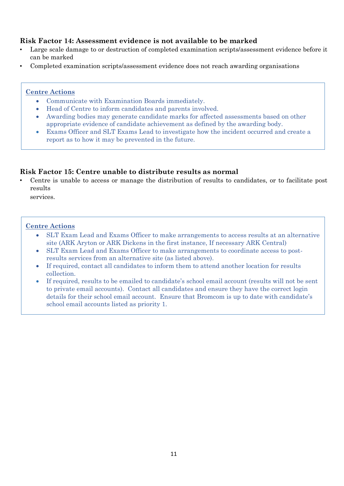## <span id="page-10-0"></span>**Risk Factor 14: Assessment evidence is not available to be marked**

- Large scale damage to or destruction of completed examination scripts/assessment evidence before it can be marked
- Completed examination scripts/assessment evidence does not reach awarding organisations

#### <span id="page-10-1"></span>**Centre Actions**

- Communicate with Examination Boards immediately.
- Head of Centre to inform candidates and parents involved.
- Awarding bodies may generate candidate marks for affected assessments based on other appropriate evidence of candidate achievement as defined by the awarding body.
- Exams Officer and SLT Exams Lead to investigate how the incident occurred and create a report as to how it may be prevented in the future.

## <span id="page-10-2"></span>**Risk Factor 15: Centre unable to distribute results as normal**

• Centre is unable to access or manage the distribution of results to candidates, or to facilitate post results

services.

- <span id="page-10-3"></span>• SLT Exam Lead and Exams Officer to make arrangements to access results at an alternative site (ARK Aryton or ARK Dickens in the first instance, If necessary ARK Central)
- SLT Exam Lead and Exams Officer to make arrangements to coordinate access to postresults services from an alternative site (as listed above).
- If required, contact all candidates to inform them to attend another location for results collection.
- If required, results to be emailed to candidate's school email account (results will not be sent to private email accounts). Contact all candidates and ensure they have the correct login details for their school email account. Ensure that Bromcom is up to date with candidate's school email accounts listed as priority 1.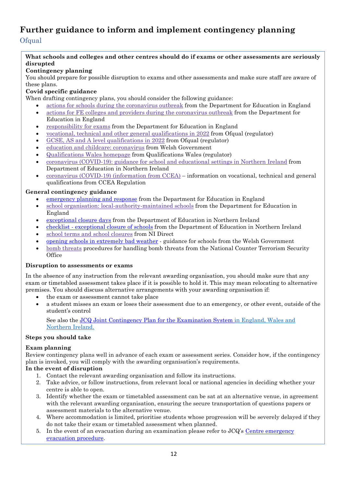## <span id="page-11-1"></span><span id="page-11-0"></span>**Further guidance to inform and implement contingency planning Ofqual**

#### **What schools and colleges and other centres should do if exams or other assessments are seriously disrupted**

#### **Contingency planning**

You should prepare for possible disruption to exams and other assessments and make sure staff are aware of these plans.

#### **Covid specific guidance**

When drafting contingency plans, you should consider the following guidance:

- actions for schools during the [coronavirus](https://www.gov.uk/government/publications/actions-for-schools-during-the-coronavirus-outbreak) outbreak from the Department for Education in England
- actions for FE colleges and providers during the [coronavirus](https://www.gov.uk/government/publications/coronavirus-covid-19-maintaining-further-education-provision) outbreak from the Department for Education in England
- [responsibility](https://www.gov.uk/government/publications/responsibility-for-autumn-gcse-as-and-a-level-exam-series) for exams from the Department for Education in England
- vocational, technical and other general [qualifications](https://www.gov.uk/government/collections/vocational-technical-and-other-general-qualifications-in-2022) in 2022 from Ofqual (regulator)
- GCSE, AS and A level [qualifications](https://www.gov.uk/government/collections/gcse-as-and-a-level-qualifications-in-2022) in 2022 from Ofqual (regulator)
- education and childcare: [coronavirus](https://gov.wales/education-coronavirus) from Welsh Government
- [Qualifications](https://www.qualificationswales.org/english/) Wales homepage from Qualifications Wales (regulator)
- coronavirus [\(COVID-19\):](https://www.education-ni.gov.uk/publications/coronavirus-covid-19-guidance-school-and-educational-settings-northern-ireland) guidance for school and educational settings in Northern Ireland from Department of Education in Northern Ireland
- coronavirus (COVID-19) [\(information](https://ccea.org.uk/regulation/coronavirus) from CCEA) information on vocational, technical and general qualifications from CCEA Regulation

#### **General contingency guidance**

- [emergency](https://www.gov.uk/guidance/emergencies-and-severe-weather-schools-and-early-years-settings) planning and response from the Department for Education in England
- school organisation: [local-authority-maintained](https://www.gov.uk/government/publications/school-organisation-maintained-schools) schools from the Department for Education in England
- [exceptional](https://www.education-ni.gov.uk/articles/exceptional-closure-days) closure days from the Department of Education in Northern Ireland
- checklist [exceptional](https://www.education-ni.gov.uk/publications/checklist-exceptional-closure-schools) closure of schools from the Department of Education in Northern Ireland
- school terms and school [closures](https://www.nidirect.gov.uk/articles/school-terms-and-school-closures) from NI Direct
- opening schools in [extremely](https://gov.wales/opening-schools-extremely-bad-weather-guidance-schools) bad weather guidance for schools from the Welsh Government
- bomb [threats](https://www.gov.uk/government/publications/crowded-places-guidance/bomb-threats) procedures for handling bomb threats from the National Counter Terrorism Security **Office**

#### **Disruption to assessments or exams**

In the absence of any instruction from the relevant awarding organisation, you should make sure that any exam or timetabled assessment takes place if it is possible to hold it. This may mean relocating to alternative premises. You should discuss alternative arrangements with your awarding organisation if:

- the exam or assessment cannot take place
- a student misses an exam or loses their assessment due to an emergency, or other event, outside of the student's control

See also the JCQ Joint Contingency Plan for the [Examination](https://www.jcq.org.uk/exams-office/other-documents/jcq-joint-contingency-plan/) System in England, Wales and Northern Ireland.

#### **Steps you should take**

#### **Exam planning**

Review contingency plans well in advance of each exam or assessment series. Consider how, if the contingency plan is invoked, you will comply with the awarding organisation's requirements.

#### **In the event of disruption**

- 1. Contact the relevant awarding organisation and follow its instructions.
- 2. Take advice, or follow instructions, from relevant local or national agencies in deciding whether your centre is able to open.
- 3. Identify whether the exam or timetabled assessment can be sat at an alternative venue, in agreement with the relevant awarding organisation, ensuring the secure transportation of questions papers or assessment materials to the alternative venue.
- 4. Where accommodation is limited, prioritise students whose progression will be severely delayed if they do not take their exam or timetabled assessment when planned.
- 5. In the event of an evacuation during an examination please refer to  $JCQ$ 's Centre [emergency](https://www.jcq.org.uk/exams-office/ice---instructions-for-conducting-examinations/centre-emergency-evacuation-procedure) [evacuation](https://www.jcq.org.uk/exams-office/ice---instructions-for-conducting-examinations/centre-emergency-evacuation-procedure) procedure.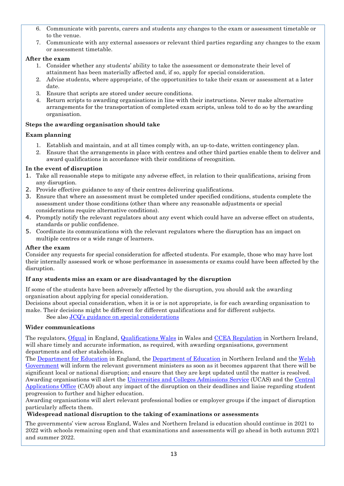- 6. Communicate with parents, carers and students any changes to the exam or assessment timetable or to the venue.
- 7. Communicate with any external assessors or relevant third parties regarding any changes to the exam or assessment timetable.

#### **After the exam**

- 1. Consider whether any students' ability to take the assessment or demonstrate their level of attainment has been materially affected and, if so, apply for special consideration.
- 2. Advise students, where appropriate, of the opportunities to take their exam or assessment at a later date.
- 3. Ensure that scripts are stored under secure conditions.
- 4. Return scripts to awarding organisations in line with their instructions. Never make alternative arrangements for the transportation of completed exam scripts, unless told to do so by the awarding organisation.

#### **Steps the awarding organisation should take**

#### **Exam planning**

- 1. Establish and maintain, and at all times comply with, an up-to-date, written contingency plan.
- 2. Ensure that the arrangements in place with centres and other third parties enable them to deliver and award qualifications in accordance with their conditions of recognition.

#### **In the event of disruption**

- 1. Take all reasonable steps to mitigate any adverse effect, in relation to their qualifications, arising from any disruption.
- 2. Provide effective guidance to any of their centres delivering qualifications.
- 3. Ensure that where an assessment must be completed under specified conditions, students complete the assessment under those conditions (other than where any reasonable adjustments or special considerations require alternative conditions).
- 4. Promptly notify the relevant regulators about any event which could have an adverse effect on students, standards or public confidence.
- 5. Coordinate its communications with the relevant regulators where the disruption has an impact on multiple centres or a wide range of learners.

#### **After the exam**

Consider any requests for special consideration for affected students. For example, those who may have lost their internally assessed work or whose performance in assessments or exams could have been affected by the disruption.

#### **If any students miss an exam or are disadvantaged by the disruption**

If some of the students have been adversely affected by the disruption, you should ask the awarding organisation about applying for special consideration.

Decisions about special consideration, when it is or is not appropriate, is for each awarding organisation to make. Their decisions might be different for different qualifications and for different subjects.

See also JCQ's guidance on special [considerations](https://www.jcq.org.uk/exams-office/access-arrangements-and-special-consideration/regulations-and-guidance)

#### **Wider communications**

The regulators, [Ofqual](https://www.gov.uk/ofqual) in England, [Qualifications](http://qualificationswales.org/) Wales in Wales and CCEA [Regulation](http://ccea.org.uk/) in Northern Ireland, will share timely and accurate information, as required, with awarding organisations, government departments and other stakeholders.

The [Department](https://www.gov.uk/government/organisations/department-for-education) for Education in England, the [Department](https://www.education-ni.gov.uk/) of Education in Northern Ireland and the [Welsh](http://gov.wales/topics/educationandskills/?lang=en) [Government](http://gov.wales/topics/educationandskills/?lang=en) will inform the relevant government ministers as soon as it becomes apparent that there will be significant local or national disruption; and ensure that they are kept updated until the matter is resolved. Awarding organisations will alert the [Universities](https://www.ucas.com/) and Colleges Admissions Service (UCAS) and the [Central](http://www.cao.ie/) [Applications](http://www.cao.ie/) Office (CAO) about any impact of the disruption on their deadlines and liaise regarding student progression to further and higher education.

Awarding organisations will alert relevant professional bodies or employer groups if the impact of disruption particularly affects them.

#### **Widespread national disruption to the taking of examinations or assessments**

The governments' view across England, Wales and Northern Ireland is education should continue in 2021 to 2022 with schools remaining open and that examinations and assessments will go ahead in both autumn 2021 and summer 2022.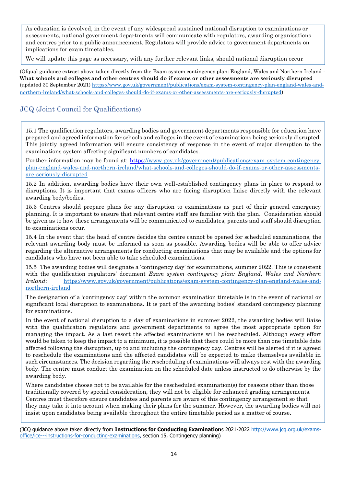As education is devolved, in the event of any widespread sustained national disruption to examinations or assessments, national government departments will communicate with regulators, awarding organisations and centres prior to a public announcement. Regulators will provide advice to government departments on implications for exam timetables.

We will update this page as necessary, with any further relevant links, should national disruption occur

(Ofqual guidance extract above taken directly from the Exam system contingency plan: England, Wales and Northern Ireland - **What schools and colleges and other centres should do if exams or other assessments are seriously disrupted** (updated 30 September 2021) [https://www.gov.uk/government/publications/exam-system-contingency-plan-england-wales-and](https://www.gov.uk/government/publications/exam-system-contingency-plan-england-wales-and-northern-ireland/what-schools-and-colleges-should-do-if-exams-or-other-assessments-are-seriously-disrupted)[northern-ireland/what-schools-and-colleges-should-do-if-exams-or-other-assessments-are-seriously-disrupted](https://www.gov.uk/government/publications/exam-system-contingency-plan-england-wales-and-northern-ireland/what-schools-and-colleges-should-do-if-exams-or-other-assessments-are-seriously-disrupted))

## <span id="page-13-0"></span>JCQ (Joint Council for Qualifications)

15.1 The qualification regulators, awarding bodies and government departments responsible for education have prepared and agreed information for schools and colleges in the event of examinations being seriously disrupted. This jointly agreed information will ensure consistency of response in the event of major disruption to the examinations system affecting significant numbers of candidates.

Further information may be found at: [https://www.gov.uk/government/publications/exam-system-contingency](https://www.gov.uk/government/publications/exam-system-contingency-plan-england-wales-and-northern-ireland/what-schools-and-colleges-should-do-if-exams-or-other-assessments-are-seriously-disrupted)[plan-england-wales-and-northern-ireland/what-schools-and-colleges-should-do-if-exams-or-other-assessments](https://www.gov.uk/government/publications/exam-system-contingency-plan-england-wales-and-northern-ireland/what-schools-and-colleges-should-do-if-exams-or-other-assessments-are-seriously-disrupted)[are-seriously-disrupted](https://www.gov.uk/government/publications/exam-system-contingency-plan-england-wales-and-northern-ireland/what-schools-and-colleges-should-do-if-exams-or-other-assessments-are-seriously-disrupted)

15.2 In addition, awarding bodies have their own well-established contingency plans in place to respond to disruptions. It is important that exams officers who are facing disruption liaise directly with the relevant awarding body/bodies.

15.3 Centres should prepare plans for any disruption to examinations as part of their general emergency planning. It is important to ensure that relevant centre staff are familiar with the plan. Consideration should be given as to how these arrangements will be communicated to candidates, parents and staff should disruption to examinations occur.

15.4 In the event that the head of centre decides the centre cannot be opened for scheduled examinations, the relevant awarding body must be informed as soon as possible. Awarding bodies will be able to offer advice regarding the alternative arrangements for conducting examinations that may be available and the options for candidates who have not been able to take scheduled examinations.

15.5 The awarding bodies will designate a 'contingency day' for examinations, summer 2022. This is consistent with the qualification regulators' document *Exam system contingency plan: England, Wales and Northern Ireland*: [https://www.gov.uk/government/publications/exam-system-contingency-plan-england-wales-and](https://www.gov.uk/government/publications/exam-system-contingency-plan-england-wales-and-northern-ireland)[northern-ireland](https://www.gov.uk/government/publications/exam-system-contingency-plan-england-wales-and-northern-ireland)

The designation of a 'contingency day' within the common examination timetable is in the event of national or significant local disruption to examinations. It is part of the awarding bodies' standard contingency planning for examinations.

In the event of national disruption to a day of examinations in summer 2022, the awarding bodies will liaise with the qualification regulators and government departments to agree the most appropriate option for managing the impact. As a last resort the affected examinations will be rescheduled. Although every effort would be taken to keep the impact to a minimum, it is possible that there could be more than one timetable date affected following the disruption, up to and including the contingency day. Centres will be alerted if it is agreed to reschedule the examinations and the affected candidates will be expected to make themselves available in such circumstances. The decision regarding the rescheduling of examinations will always rest with the awarding body. The centre must conduct the examination on the scheduled date unless instructed to do otherwise by the awarding body.

Where candidates choose not to be available for the rescheduled examination(s) for reasons other than those traditionally covered by special consideration, they will not be eligible for enhanced grading arrangements. Centres must therefore ensure candidates and parents are aware of this contingency arrangement so that they may take it into account when making their plans for the summer. However, the awarding bodies will not insist upon candidates being available throughout the entire timetable period as a matter of course.

<sup>(</sup>JCQ guidance above taken directly from **Instructions for Conducting Examination**s 2021-2022 [http://www.jcq.org.uk/exams](http://www.jcq.org.uk/exams-office/ice---instructions-for-conducting-examinations)[office/ice---instructions-for-conducting-examinations,](http://www.jcq.org.uk/exams-office/ice---instructions-for-conducting-examinations) section 15, Contingency planning)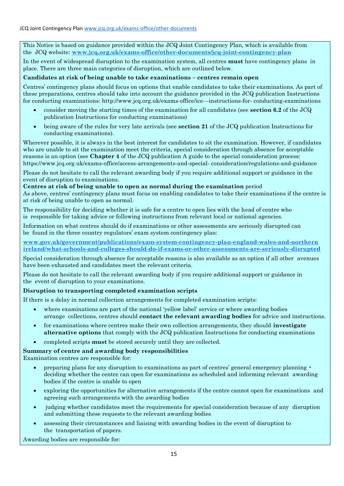This Notice is based on guidance provided within the JCQ Joint Contingency Plan, which is available from the JCQ website: **[www.jcq.org.uk/exams-office/other-documents/jcq-joint-contingency-plan](https://www.jcq.org.uk/exams-office/other-documents/jcq-joint-contingency-plan)**

In the event of widespread disruption to the examination system, all centres **must** have contingency plans in place. There are three main categories of disruption, which are outlined below.

#### **Candidates at risk of being unable to take examinations – centres remain open**

Centres' contingency plans should focus on options that enable candidates to take their examinations. As part of these preparations, centres should take into account the guidance provided in the JCQ publication Instructions for conducting examinations: http://www.jcq.org.uk/exams-office/ice---instructions-for- conducting-examinations

- consider moving the starting times of the examination for all candidates (see **section 6.2** of the JCQ publication Instructions for conducting examinations)
- being aware of the rules for very late arrivals (see **section 21** of the JCQ publication Instructions for conducting examinations).

Wherever possible, it is always in the best interest for candidates to sit the examination. However, if candidates who are unable to sit the examination meet the criteria, special consideration through absence for acceptable reasons is an option (see **Chapter 4** of the JCQ publication A guide to the special consideration process: https://www.jcq.org.uk/exams-office/access-arrangements-and-special- consideration/regulations-and-guidance

Please do not hesitate to call the relevant awarding body if you require additional support or guidance in the event of disruption to examinations.

#### **Centres at risk of being unable to open as normal during the examination** period

As above, centres' contingency plans must focus on enabling candidates to take their examinations if the centre is at risk of being unable to open as normal.

The responsibility for deciding whether it is safe for a centre to open lies with the head of centre who is responsible for taking advice or following instructions from relevant local or national agencies.

Information on what centres should do if examinations or other assessments are seriously disrupted can be found in the three country regulators' exam system contingency plan:

**[www.gov.uk/government/publications/exam-system-contingency-plan-england-wales-and-northern](https://www.gov.uk/government/publications/exam-system-contingency-plan-england-wales-and-northern-ireland/what-schools-and-colleges-should-do-if-exams-or-other-assessments-are-seriously-disrupted)  [ireland/what-schools-and-colleges-should-do-if-exams-or-other-assessments-are-seriously-disrupted](https://www.gov.uk/government/publications/exam-system-contingency-plan-england-wales-and-northern-ireland/what-schools-and-colleges-should-do-if-exams-or-other-assessments-are-seriously-disrupted)**

Special consideration through absence for acceptable reasons is also available as an option if all other avenues have been exhausted and candidates meet the relevant criteria.

Please do not hesitate to call the relevant awarding body if you require additional support or guidance in the event of disruption to your examinations.

#### **Disruption to transporting completed examination scripts**

If there is a delay in normal collection arrangements for completed examination scripts:

- where examinations are part of the national 'yellow label' service or where awarding bodies arrange collections, centres should **contact the relevant awarding bodies** for advice and instructions.
- for examinations where centres make their own collection arrangements, they should **investigate alternative options** that comply with the JCQ publication Instructions for conducting examinations
- completed scripts **must** be stored securely until they are collected.

#### **Summary of centre and awarding body responsibilities**

Examination centres are responsible for:

- preparing plans for any disruption to examinations as part of centres' general emergency planning deciding whether the centre can open for examinations as scheduled and informing relevant awarding bodies if the centre is unable to open
- exploring the opportunities for alternative arrangements if the centre cannot open for examinations and agreeing such arrangements with the awarding bodies
- judging whether candidates meet the requirements for special consideration because of any disruption and submitting these requests to the relevant awarding bodies
- assessing their circumstances and liaising with awarding bodies in the event of disruption to the transportation of papers.

Awarding bodies are responsible for: